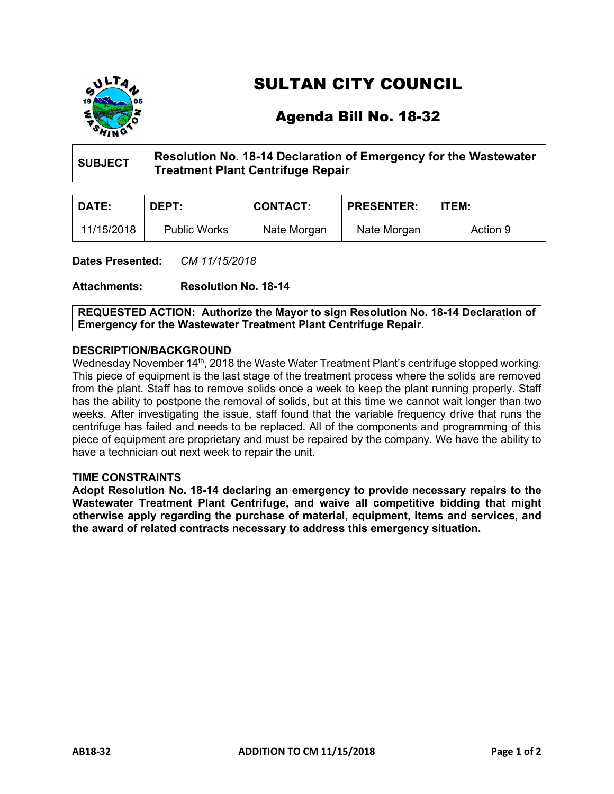

# SULTAN CITY COUNCIL

## Agenda Bill No. 18-32

| SUBJECT | Resolution No. 18-14 Declaration of Emergency for the Wastewater |
|---------|------------------------------------------------------------------|
|         | <b>Treatment Plant Centrifuge Repair</b>                         |

| <b>DATE:</b> | DEPT:               | <b>CONTACT:</b> | <b>PRESENTER:</b> | <b>ITEM:</b> |
|--------------|---------------------|-----------------|-------------------|--------------|
| 11/15/2018   | <b>Public Works</b> | Nate Morgan     | Nate Morgan       | Action 9     |

**Dates Presented:** *CM 11/15/2018*

**Attachments: Resolution No. 18-14**

**REQUESTED ACTION: Authorize the Mayor to sign Resolution No. 18-14 Declaration of Emergency for the Wastewater Treatment Plant Centrifuge Repair.**

### **DESCRIPTION/BACKGROUND**

Wednesday November 14<sup>th</sup>, 2018 the Waste Water Treatment Plant's centrifuge stopped working. This piece of equipment is the last stage of the treatment process where the solids are removed from the plant. Staff has to remove solids once a week to keep the plant running properly. Staff has the ability to postpone the removal of solids, but at this time we cannot wait longer than two weeks. After investigating the issue, staff found that the variable frequency drive that runs the centrifuge has failed and needs to be replaced. All of the components and programming of this piece of equipment are proprietary and must be repaired by the company. We have the ability to have a technician out next week to repair the unit.

#### **TIME CONSTRAINTS**

**Adopt Resolution No. 18-14 declaring an emergency to provide necessary repairs to the Wastewater Treatment Plant Centrifuge, and waive all competitive bidding that might otherwise apply regarding the purchase of material, equipment, items and services, and the award of related contracts necessary to address this emergency situation.**